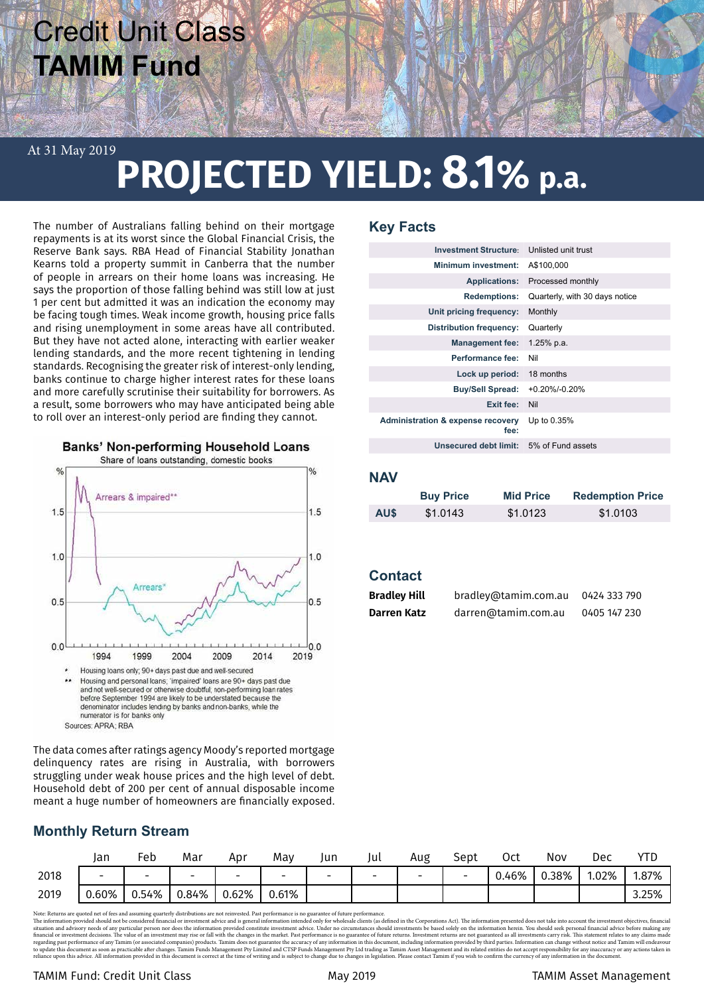## Credit Unit Class **TAMIM Fund**

## **PROJECTED YIELD: 8.1% p.a.** At 31 May 2019

The number of Australians falling behind on their mortgage repayments is at its worst since the Global Financial Crisis, the Reserve Bank says. RBA Head of Financial Stability Jonathan Kearns told a property summit in Canberra that the number of people in arrears on their home loans was increasing. He says the proportion of those falling behind was still low at just 1 per cent but admitted it was an indication the economy may be facing tough times. Weak income growth, housing price falls and rising unemployment in some areas have all contributed. But they have not acted alone, interacting with earlier weaker lending standards, and the more recent tightening in lending standards. Recognising the greater risk of interest-only lending, banks continue to charge higher interest rates for these loans and more carefully scrutinise their suitability for borrowers. As a result, some borrowers who may have anticipated being able to roll over an interest-only period are finding they cannot.



The data comes after ratings agency Moody's reported mortgage delinquency rates are rising in Australia, with borrowers struggling under weak house prices and the high level of debt. Household debt of 200 per cent of annual disposable income meant a huge number of homeowners are financially exposed.

## **Key Facts**

| <b>Investment Structure:</b>                         | Unlisted unit trust            |
|------------------------------------------------------|--------------------------------|
| Minimum investment:                                  | A\$100,000                     |
| <b>Applications:</b>                                 | Processed monthly              |
| <b>Redemptions:</b>                                  | Quarterly, with 30 days notice |
| Unit pricing frequency:                              | Monthly                        |
| Distribution frequency:                              | Quarterly                      |
| <b>Management fee:</b>                               | 1.25% p.a.                     |
| Performance fee:                                     | Nil                            |
| Lock up period:                                      | 18 months                      |
| <b>Buy/Sell Spread:</b>                              | $+0.20\%$ /-0.20%              |
| Exit fee:                                            | Nil                            |
| <b>Administration &amp; expense recovery</b><br>fee: | Up to 0.35%                    |
| Unsecured debt limit: 5% of Fund assets              |                                |
|                                                      |                                |

## **NAV**

|            | <b>Buy Price</b> | <b>Mid Price</b> | <b>Redemption Price</b> |
|------------|------------------|------------------|-------------------------|
| <b>AUS</b> | \$1.0143         | \$1.0123         | \$1.0103                |

## **Contact**

| <b>Bradley Hill</b> | 0424 333 790        |              |  |  |
|---------------------|---------------------|--------------|--|--|
| Darren Katz         | darren@tamim.com.au | 0405 147 230 |  |  |

|      | Jan                      | Feb                      | Mar                      | Apr                      | Mav                      | lun                      | lUı.                     | Aug | Sept                     | Oct   | Nov   | Dec   |       |
|------|--------------------------|--------------------------|--------------------------|--------------------------|--------------------------|--------------------------|--------------------------|-----|--------------------------|-------|-------|-------|-------|
| 2018 | $\overline{\phantom{0}}$ | $\overline{\phantom{0}}$ | $\overline{\phantom{0}}$ | $\overline{\phantom{0}}$ | $\overline{\phantom{0}}$ | $\overline{\phantom{0}}$ | $\overline{\phantom{0}}$ | -   | $\overline{\phantom{0}}$ | 0.46% | 0.38% | 1.02% | 1.87% |
| 2019 | 0.60%                    | 0.54%                    | 0.84%                    | 0.62%                    | 0.61%                    |                          |                          |     |                          |       |       |       | 3.25% |

Note: Returns are quoted net of res and assuming quartrary distributions are not reinvested. Past performance is no guarante of future performance, is not all and resolution presented about and restrict account the investm

## TAMIM Fund: Credit Unit Class May 2019 TAMIM Asset Management

**Monthly Return Stream**